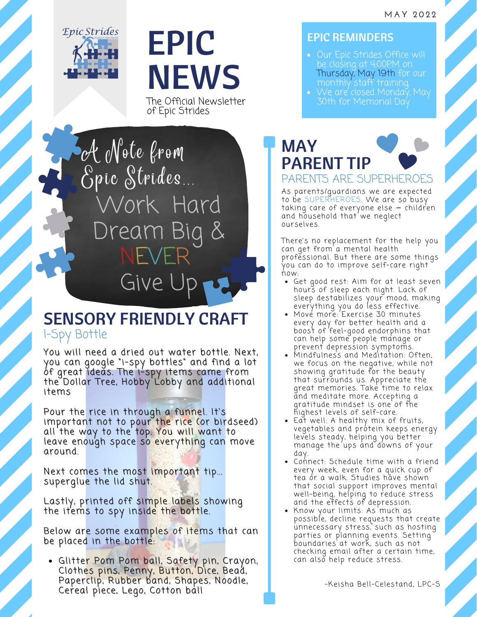

## EPIC NEWS

The Official Newsletter of Epic Strides

Work Hard Dream Big NEVER Give A Note from Epic Strides

## SENSORY FRIENDLY CRAFT I-Spy Bottle

You will need a dried out water bottle. Next, you can google "i-spy bottles" and find a lot of great ideas. The i-spy items came from the Dollar Tree, Hobby Lobby and additional items

Pour the rice in through a funnel. It's important not to pour the rice (or birdseed) all the way to the top. You will want to leave enough space so everything can move around.

Next comes the most important tip... superglue the lid shut.

Lastly, printed off simple labels showing the items to spy inside the bottle.

Below are some examples of items that can be placed in the bottle:

Glitter Pom Pom ball, Safety pin, Crayon, Clothes pins, Penny, Button, Dice, Bead, Paperclip, Rubber band, Shapes, Noodle, Cereal piece, Lego, Cotton ball

## EPIC REMINDERS

- Our Epic Strides Office will Thursday, May 19th for our monthly staff training.
- We are closed Monday, May



As [parents/guardians](https://pubmed.ncbi.nlm.nih.gov/9546299/) we are expected to be [SUPERHEROES.](https://pubmed.ncbi.nlm.nih.gov/9546299/) We are so busy taking care of everyone else – children and hous[eh](https://pubmed.ncbi.nlm.nih.gov/9546299/)old that we neglect ourselves.

There's no replacement for the help you can get from a mental health [professional.](https://pubmed.ncbi.nlm.nih.gov/9546299/) But there are some things you [ca](https://pubmed.ncbi.nlm.nih.gov/9546299/)n do to [improve](https://pubmed.ncbi.nlm.nih.gov/9546299/) self-care right now:

- Get good rest: Aim for at least seven hours of sleep each night. Lack of sleep [destabilizes](https://pubmed.ncbi.nlm.nih.gov/9546299/) your mood, m[a](https://pubmed.ncbi.nlm.nih.gov/9546299/)king everything you do less effective.
- [Mov](https://pubmed.ncbi.nlm.nih.gov/9546299/)e more: Exercise 30 minutes every day for better health and a boost of feel-good [endorphins](https://pubmed.ncbi.nlm.nih.gov/9546299/) that can help [some](https://pubmed.ncbi.nlm.nih.gov/9546299/) people manage [o](https://pubmed.ncbi.nlm.nih.gov/9546299/)r prevent depression [symptoms.](https://pubmed.ncbi.nlm.nih.gov/9546299/)
- [Mindfulness](https://pubmed.ncbi.nlm.nih.gov/9546299/) and Meditation: Often, we focus on the negative, while not showing gratitude for the beauty that surrounds us. Appreciate the great memories. Take time to relax and meditate more. Accepting a gratitude mindset is one [of](https://pubmed.ncbi.nlm.nih.gov/9546299/) the highest levels of self-care.
- Eat well: A healthy mix of fruits, [vegetables](https://pubmed.ncbi.nlm.nih.gov/9546299/) and protein keeps energy levels steady, helping you better ma[na](https://pubmed.ncbi.nlm.nih.gov/9546299/)ge the ups and downs of your day.
- Connect: Schedule time with a friend every week, even for a quick cup of tea ór a walk. Studies hăve shown that social support improves mental well-being, helping to reduce [st](https://pubmed.ncbi.nlm.nih.gov/9546299/)ress and the effects of [depression.](https://pubmed.ncbi.nlm.nih.gov/9546299/)
- Know your limits: As much as possible, decline requests that create [unnecessary](https://pubmed.ncbi.nlm.nih.gov/9546299/) stress, such as hosting parties or planning events. Setting boundaries at work, such as not checking email after a cert[ai](https://pubmed.ncbi.nlm.nih.gov/9546299/)n time, can also help reduce stress.